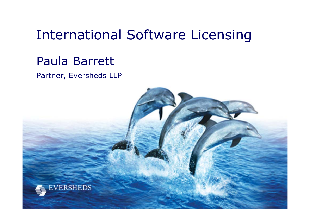### International Software Licensing

### Paula Barrett

Partner, Eversheds LLP

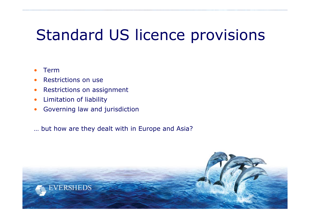# Standard US licence provisions

- •Term
- •Restrictions on use
- •Restrictions on assignment
- •Limitation of liability
- •Governing law and jurisdiction
- … but how are they dealt with in Europe and Asia?

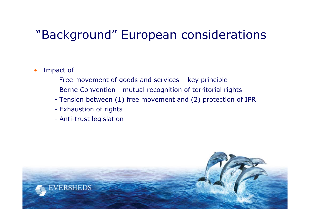### "Background" European considerations

- • Impact of
	- Free movement of goods and services key principle
	- Berne Convention mutual recognition of territorial rights
	- Tension between (1) free movement and (2) protection of IPR
	- Exhaustion of rights
	- Anti-trust legislation

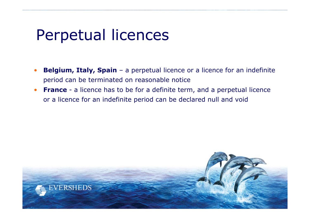## Perpetual licences

- •**Belgium, Italy, Spain** – a perpetual licence or a licence for an indefinite period can be terminated on reasonable notice
- •**France** - a licence has to be for a definite term, and a perpetual licence or a licence for an indefinite period can be declared null and void

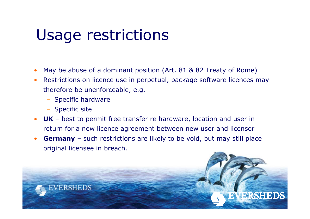### Usage restrictions

- •May be abuse of a dominant position (Art. 81 & 82 Treaty of Rome)
- • Restrictions on licence use in perpetual, package software licences may therefore be unenforceable, e.g.
	- Specific hardware
	- Specific site
- • **UK** – best to permit free transfer re hardware, location and user in return for a new licence agreement between new user and licensor
- • **Germany** – such restrictions are likely to be void, but may still place original licensee in breach.

BRSHE

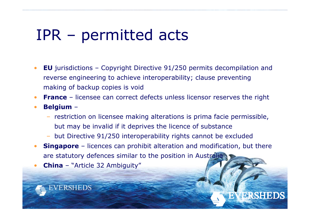## IPR – permitted acts

- • **EU** jurisdictions – Copyright Directive 91/250 permits decompilation and reverse engineering to achieve interoperability; clause preventing making of backup copies is void
- •**France** – licensee can correct defects unless licensor reserves the right
- •• Belgium –
	- restriction on licensee making alterations is prima facie permissible, but may be invalid if it deprives the licence of substance
	- but Directive 91/250 interoperability rights cannot be excluded
- •**Singapore** – licences can prohibit alteration and modification, but there are statutory defences similar to the position in Australia

BRSHED

•**China** – "Article 32 Ambiguity"

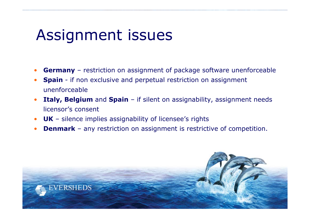## Assignment issues

ERSHEDS

- •**Germany** – restriction on assignment of package software unenforceable
- • **Spain** - if non exclusive and perpetual restriction on assignment unenforceable
- • **Italy, Belgium** and **Spain** – if silent on assignability, assignment needs licensor's consent
- •**UK** – silence implies assignability of licensee's rights
- •**Denmark** – any restriction on assignment is restrictive of competition.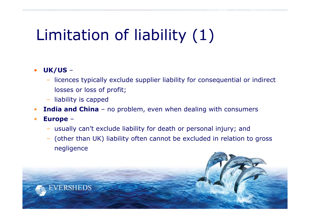# Limitation of liability (1)

#### •**UK/US** –

- licences typically exclude supplier liability for consequential or indirect losses or loss of profit;
- liability is capped
- •**India and China** – no problem, even when dealing with consumers
- • **Europe** –
	- usually can't exclude liability for death or personal injury; and
	- (other than UK) liability often cannot be excluded in relation to gross negligence

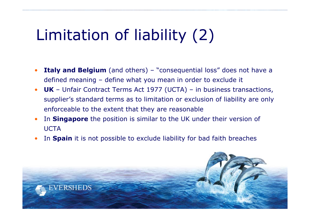# Limitation of liability (2)

- • **Italy and Belgium** (and others) – "consequential loss" does not have a defined meaning – define what you mean in order to exclude it
- • **UK** – Unfair Contract Terms Act 1977 (UCTA) – in business transactions, supplier's standard terms as to limitation or exclusion of liability are only enforceable to the extent that they are reasonable
- • In **Singapore** the position is similar to the UK under their version of **UCTA**
- •In **Spain** it is not possible to exclude liability for bad faith breaches

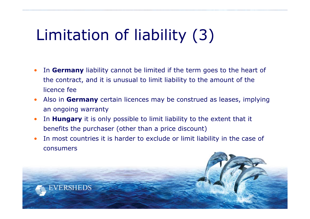# Limitation of liability (3)

- • In **Germany** liability cannot be limited if the term goes to the heart of the contract, and it is unusual to limit liability to the amount of the licence fee
- • Also in **Germany** certain licences may be construed as leases, implying an ongoing warranty
- • In **Hungary** it is only possible to limit liability to the extent that it benefits the purchaser (other than a price discount)
- • In most countries it is harder to exclude or limit liability in the case of consumers

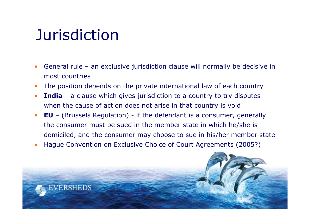## **Jurisdiction**

- • General rule – an exclusive jurisdiction clause will normally be decisive in most countries
- •The position depends on the private international law of each country
- • **India** – a clause which gives jurisdiction to a country to try disputes when the cause of action does not arise in that country is void
- • **EU** – (Brussels Regulation) - if the defendant is a consumer, generally the consumer must be sued in the member state in which he/she is domiciled, and the consumer may choose to sue in his/her member state
- •Hague Convention on Exclusive Choice of Court Agreements (2005?)

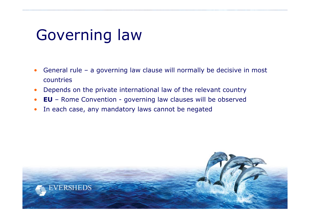# Governing law

- • General rule – a governing law clause will normally be decisive in most countries
- •Depends on the private international law of the relevant country
- •**EU** – Rome Convention - governing law clauses will be observed
- •In each case, any mandatory laws cannot be negated

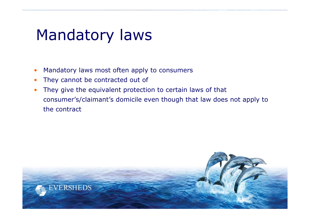## Mandatory laws

- •Mandatory laws most often apply to consumers
- •They cannot be contracted out of
- • They give the equivalent protection to certain laws of that consumer's/claimant's domicile even though that law does not apply to the contract

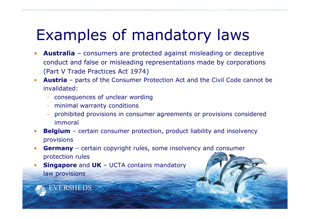# Examples of mandatory laws

- • **Australia** – consumers are protected against misleading or deceptive conduct and false or misleading representations made by corporations (Part V Trade Practices Act 1974)
- • **Austria** – parts of the Consumer Protection Act and the Civil Code cannot be invalidated:
	- consequences of unclear wording
	- minimal warranty conditions
	- prohibited provisions in consumer agreements or provisions considered immoral
- •**Belgium** – certain consumer protection, product liability and insolvency provisions
- • **Germany** – certain copyright rules, some insolvency and consumer protection rules
- • **Singapore** and **UK** – UCTA contains mandatory law provisions

**EVERSHEDS**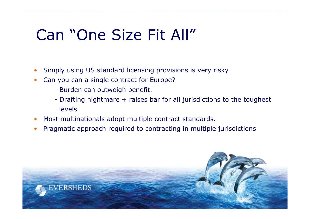# Can "One Size Fit All"

- •Simply using US standard licensing provisions is very risky
- • Can you can a single contract for Europe?
	- Burden can outweigh benefit.

ERSHEDS

- Drafting nightmare + raises bar for all jurisdictions to the toughest levels
- •Most multinationals adopt multiple contract standards.
- •Pragmatic approach required to contracting in multiple jurisdictions